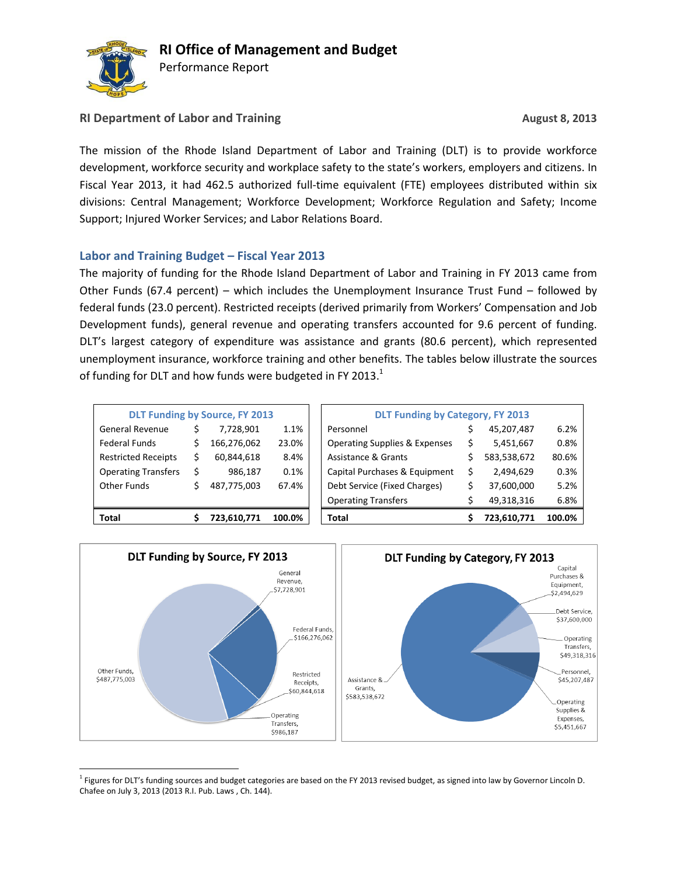

 $\overline{a}$ 

Performance Report

## **RI Department of Labor and Training <b>August August** 8, 2013

The mission of the Rhode Island Department of Labor and Training (DLT) is to provide workforce development, workforce security and workplace safety to the state's workers, employers and citizens. In Fiscal Year 2013, it had 462.5 authorized full-time equivalent (FTE) employees distributed within six divisions: Central Management; Workforce Development; Workforce Regulation and Safety; Income Support; Injured Worker Services; and Labor Relations Board.

## **Labor and Training Budget – Fiscal Year 2013**

The majority of funding for the Rhode Island Department of Labor and Training in FY 2013 came from Other Funds (67.4 percent) – which includes the Unemployment Insurance Trust Fund – followed by federal funds (23.0 percent). Restricted receipts (derived primarily from Workers' Compensation and Job Development funds), general revenue and operating transfers accounted for 9.6 percent of funding. DLT's largest category of expenditure was assistance and grants (80.6 percent), which represented unemployment insurance, workforce training and other benefits. The tables below illustrate the sources of funding for DLT and how funds were budgeted in FY 2013.<sup>1</sup>

| <b>DLT Funding by Source, FY 2013</b> |   |             |        |  |  |  |  |  |  |  |
|---------------------------------------|---|-------------|--------|--|--|--|--|--|--|--|
| General Revenue                       | Ś | 7,728,901   | 1.1%   |  |  |  |  |  |  |  |
| <b>Federal Funds</b>                  | Ś | 166,276,062 | 23.0%  |  |  |  |  |  |  |  |
| <b>Restricted Receipts</b>            | Ś | 60,844,618  | 8.4%   |  |  |  |  |  |  |  |
| <b>Operating Transfers</b>            | Ś | 986,187     | 0.1%   |  |  |  |  |  |  |  |
| <b>Other Funds</b>                    | Ś | 487,775,003 | 67.4%  |  |  |  |  |  |  |  |
|                                       |   |             |        |  |  |  |  |  |  |  |
| Total                                 |   | 723,610,771 | 100.0% |  |  |  |  |  |  |  |

| Total                      | 723,610,771                           | 100.0% | Total                                    | 723,610,771 | 100.0% |
|----------------------------|---------------------------------------|--------|------------------------------------------|-------------|--------|
|                            |                                       |        | <b>Operating Transfers</b>               | 49,318,316  | 6.8%   |
| Other Funds                | 487,775,003                           | 67.4%  | Debt Service (Fixed Charges)             | 37,600,000  | 5.2%   |
| <b>Operating Transfers</b> | 986,187                               | 0.1%   | Capital Purchases & Equipment            | 2,494,629   | 0.3%   |
| <b>Restricted Receipts</b> | 60,844,618                            | 8.4%   | Assistance & Grants                      | 583,538,672 | 80.6%  |
| Federal Funds              | 166,276,062                           | 23.0%  | <b>Operating Supplies &amp; Expenses</b> | 5,451,667   | 0.8%   |
| General Revenue            | 7,728,901                             | 1.1%   | Personnel                                | 45,207,487  | 6.2%   |
|                            | <b>DLT Funding by Source, FY 2013</b> |        | <b>DLT Funding by Category, FY 2013</b>  |             |        |



<sup>&</sup>lt;sup>1</sup> Figures for DLT's funding sources and budget categories are based on the FY 2013 revised budget, as signed into law by Governor Lincoln D. Chafee on July 3, 2013 (2013 R.I. Pub. Laws , Ch. 144).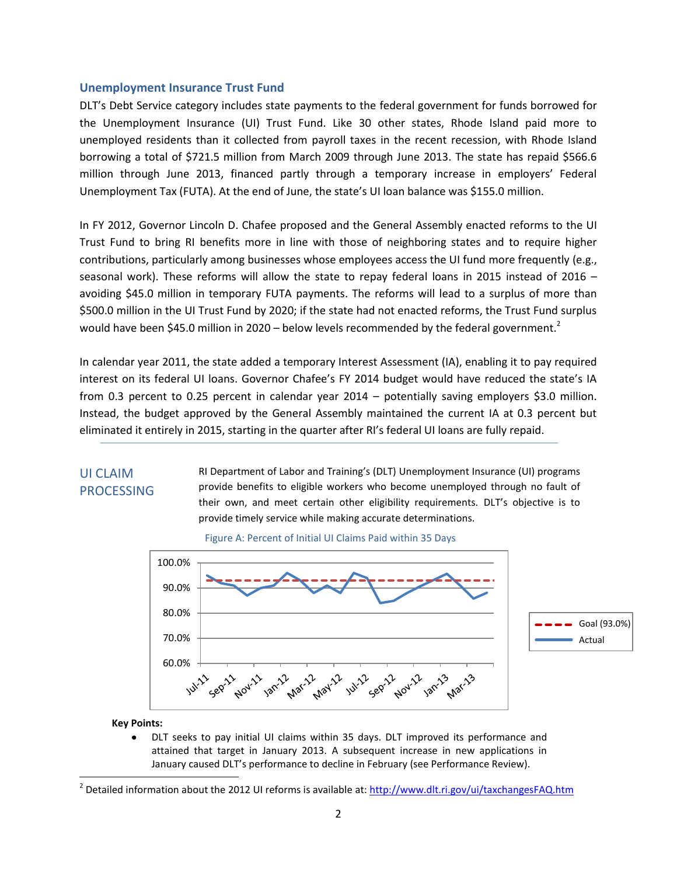### **Unemployment Insurance Trust Fund**

DLT's Debt Service category includes state payments to the federal government for funds borrowed for the Unemployment Insurance (UI) Trust Fund. Like 30 other states, Rhode Island paid more to unemployed residents than it collected from payroll taxes in the recent recession, with Rhode Island borrowing a total of \$721.5 million from March 2009 through June 2013. The state has repaid \$566.6 million through June 2013, financed partly through a temporary increase in employers' Federal Unemployment Tax (FUTA). At the end of June, the state's UI loan balance was \$155.0 million.

In FY 2012, Governor Lincoln D. Chafee proposed and the General Assembly enacted reforms to the UI Trust Fund to bring RI benefits more in line with those of neighboring states and to require higher contributions, particularly among businesses whose employees access the UI fund more frequently (e.g., seasonal work). These reforms will allow the state to repay federal loans in 2015 instead of 2016 – avoiding \$45.0 million in temporary FUTA payments. The reforms will lead to a surplus of more than \$500.0 million in the UI Trust Fund by 2020; if the state had not enacted reforms, the Trust Fund surplus would have been \$45.0 million in 2020 – below levels recommended by the federal government.<sup>2</sup>

In calendar year 2011, the state added a temporary Interest Assessment (IA), enabling it to pay required interest on its federal UI loans. Governor Chafee's FY 2014 budget would have reduced the state's IA from 0.3 percent to 0.25 percent in calendar year 2014 – potentially saving employers \$3.0 million. Instead, the budget approved by the General Assembly maintained the current IA at 0.3 percent but eliminated it entirely in 2015, starting in the quarter after RI's federal UI loans are fully repaid.

### UI CLAIM PROCESSING

RI Department of Labor and Training's (DLT) Unemployment Insurance (UI) programs provide benefits to eligible workers who become unemployed through no fault of their own, and meet certain other eligibility requirements. DLT's objective is to provide timely service while making accurate determinations.



Figure A: Percent of Initial UI Claims Paid within 35 Days

### **Key Points:**

 $\overline{\phantom{a}}$ 

DLT seeks to pay initial UI claims within 35 days. DLT improved its performance and attained that target in January 2013. A subsequent increase in new applications in January caused DLT's performance to decline in February (see Performance Review).

<sup>&</sup>lt;sup>2</sup> Detailed information about the 2012 UI reforms is available at[: http://www.dlt.ri.gov/ui/taxchangesFAQ.htm](http://www.dlt.ri.gov/ui/taxchangesFAQ.htm)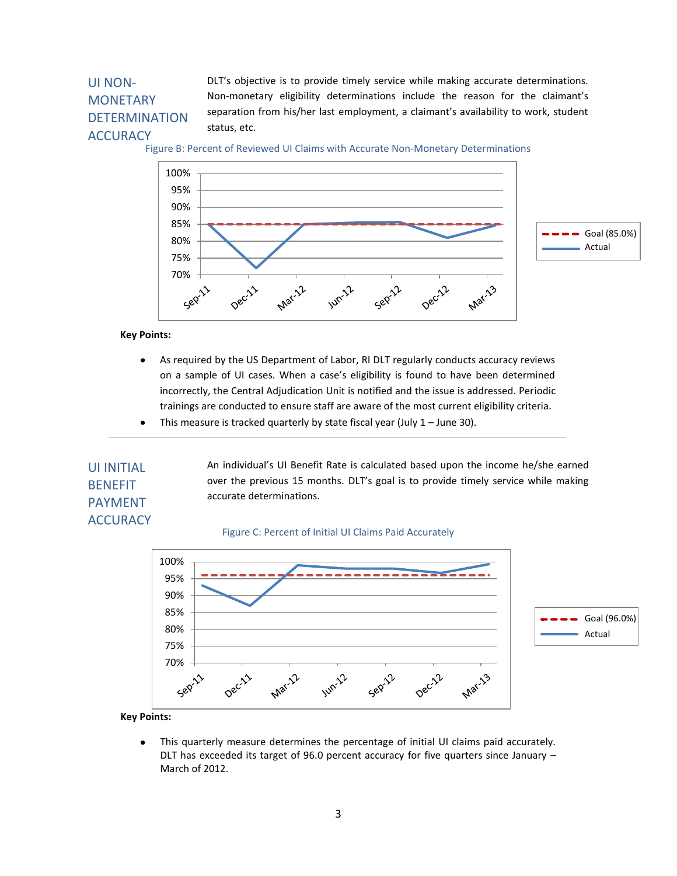# UI NON-**MONETARY** DETERMINATION **ACCURACY**

DLT's objective is to provide timely service while making accurate determinations. Non-monetary eligibility determinations include the reason for the claimant's separation from his/her last employment, a claimant's availability to work, student status, etc.

Figure B: Percent of Reviewed UI Claims with Accurate Non-Monetary Determinations



**Key Points:**

- As required by the US Department of Labor, RI DLT regularly conducts accuracy reviews  $\bullet$ on a sample of UI cases. When a case's eligibility is found to have been determined incorrectly, the Central Adjudication Unit is notified and the issue is addressed. Periodic trainings are conducted to ensure staff are aware of the most current eligibility criteria.
- $\bullet$ This measure is tracked quarterly by state fiscal year (July  $1 -$  June 30).

# UI INITIAL BENEFIT PAYMENT **ACCURACY**

over the previous 15 months. DLT's goal is to provide timely service while making accurate determinations.

An individual's UI Benefit Rate is calculated based upon the income he/she earned

#### Figure C: Percent of Initial UI Claims Paid Accurately



**Key Points:**

This quarterly measure determines the percentage of initial UI claims paid accurately.  $\bullet$ DLT has exceeded its target of 96.0 percent accuracy for five quarters since January  $-$ March of 2012.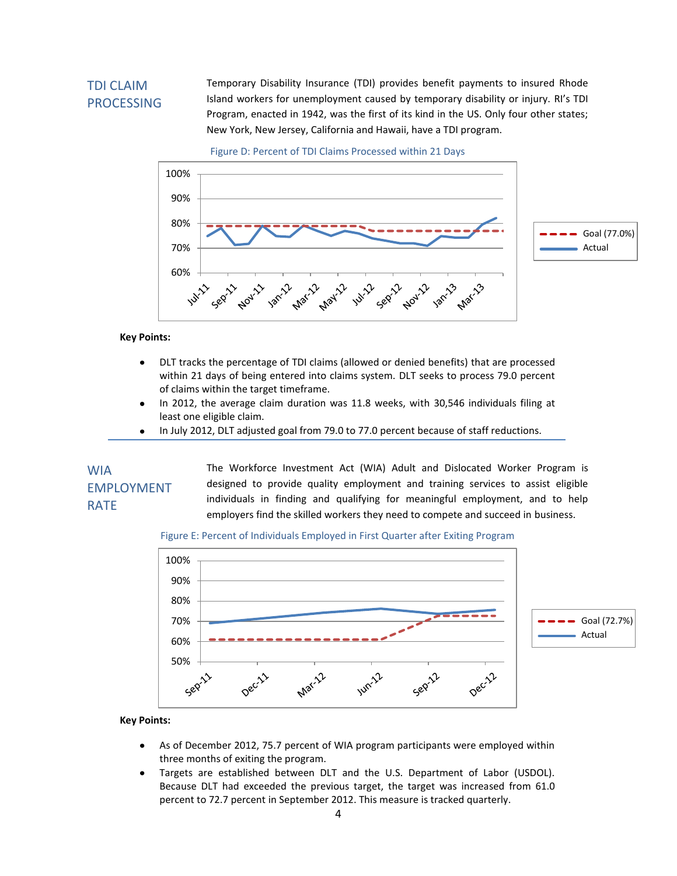# TDI CLAIM PROCESSING

Temporary Disability Insurance (TDI) provides benefit payments to insured Rhode Island workers for unemployment caused by temporary disability or injury. RI's TDI Program, enacted in 1942, was the first of its kind in the US. Only four other states; New York, New Jersey, California and Hawaii, have a TDI program.

Figure D: Percent of TDI Claims Processed within 21 Days



#### **Key Points:**

- DLT tracks the percentage of TDI claims (allowed or denied benefits) that are processed  $\bullet$ within 21 days of being entered into claims system. DLT seeks to process 79.0 percent of claims within the target timeframe.
- In 2012, the average claim duration was 11.8 weeks, with 30,546 individuals filing at  $\bullet$ least one eligible claim.
- In July 2012, DLT adjusted goal from 79.0 to 77.0 percent because of staff reductions.  $\bullet$

WIA EMPLOYMENT RATE

The Workforce Investment Act (WIA) Adult and Dislocated Worker Program is designed to provide quality employment and training services to assist eligible individuals in finding and qualifying for meaningful employment, and to help employers find the skilled workers they need to compete and succeed in business.

#### Figure E: Percent of Individuals Employed in First Quarter after Exiting Program



#### **Key Points:**

- As of December 2012, 75.7 percent of WIA program participants were employed within  $\bullet$ three months of exiting the program.
- Targets are established between DLT and the U.S. Department of Labor (USDOL).  $\bullet$ Because DLT had exceeded the previous target, the target was increased from 61.0 percent to 72.7 percent in September 2012. This measure is tracked quarterly.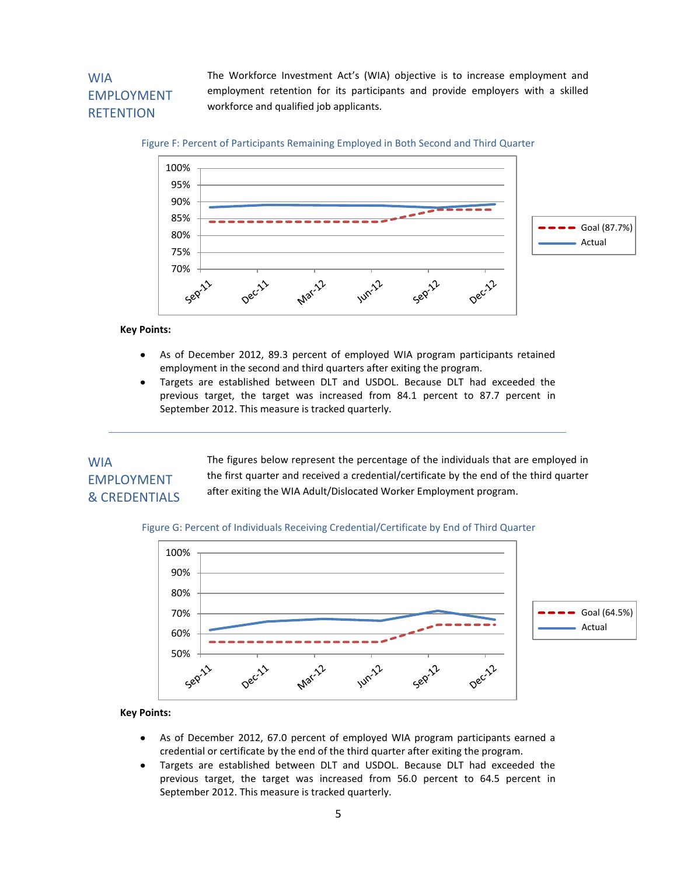# WIA EMPLOYMENT **RETENTION**

The Workforce Investment Act's (WIA) objective is to increase employment and employment retention for its participants and provide employers with a skilled workforce and qualified job applicants.

### Figure F: Percent of Participants Remaining Employed in Both Second and Third Quarter



#### **Key Points:**

- As of December 2012, 89.3 percent of employed WIA program participants retained  $\bullet$ employment in the second and third quarters after exiting the program.
- Targets are established between DLT and USDOL. Because DLT had exceeded the previous target, the target was increased from 84.1 percent to 87.7 percent in September 2012. This measure is tracked quarterly.

## WIA EMPLOYMENT & CREDENTIALS

The figures below represent the percentage of the individuals that are employed in the first quarter and received a credential/certificate by the end of the third quarter after exiting the WIA Adult/Dislocated Worker Employment program.

### Figure G: Percent of Individuals Receiving Credential/Certificate by End of Third Quarter



### **Key Points:**

- $\bullet$ As of December 2012, 67.0 percent of employed WIA program participants earned a credential or certificate by the end of the third quarter after exiting the program.
- Targets are established between DLT and USDOL. Because DLT had exceeded the  $\bullet$ previous target, the target was increased from 56.0 percent to 64.5 percent in September 2012. This measure is tracked quarterly.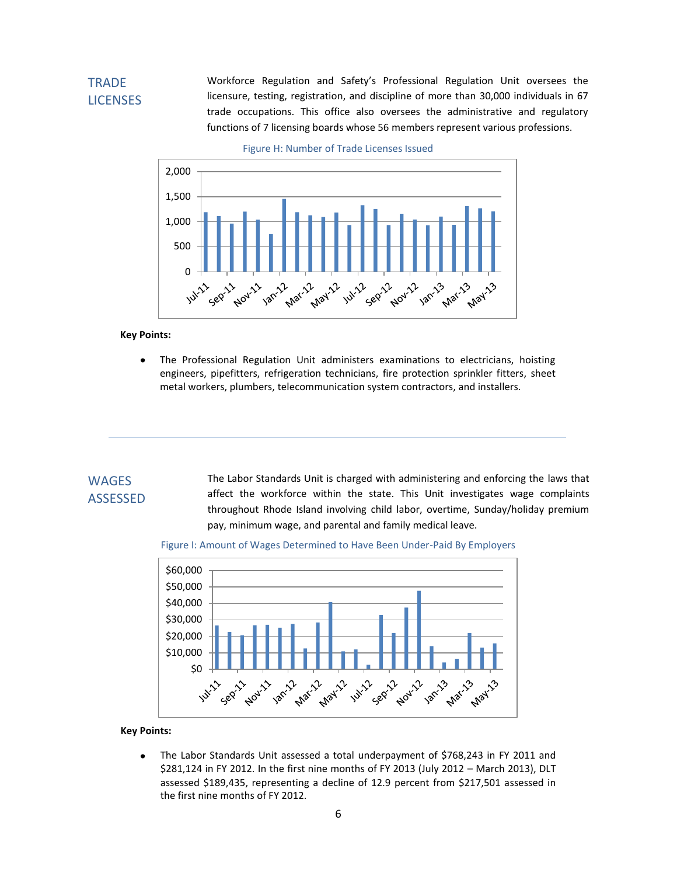# **TRADE LICENSES**

Workforce Regulation and Safety's Professional Regulation Unit oversees the licensure, testing, registration, and discipline of more than 30,000 individuals in 67 trade occupations. This office also oversees the administrative and regulatory functions of 7 licensing boards whose 56 members represent various professions.



Figure H: Number of Trade Licenses Issued

#### **Key Points:**

The Professional Regulation Unit administers examinations to electricians, hoisting  $\bullet$ engineers, pipefitters, refrigeration technicians, fire protection sprinkler fitters, sheet metal workers, plumbers, telecommunication system contractors, and installers.

## **WAGES** ASSESSED

The Labor Standards Unit is charged with administering and enforcing the laws that affect the workforce within the state. This Unit investigates wage complaints throughout Rhode Island involving child labor, overtime, Sunday/holiday premium pay, minimum wage, and parental and family medical leave.





### **Key Points:**

The Labor Standards Unit assessed a total underpayment of \$768,243 in FY 2011 and  $\bullet$ \$281,124 in FY 2012. In the first nine months of FY 2013 (July 2012 – March 2013), DLT assessed \$189,435, representing a decline of 12.9 percent from \$217,501 assessed in the first nine months of FY 2012.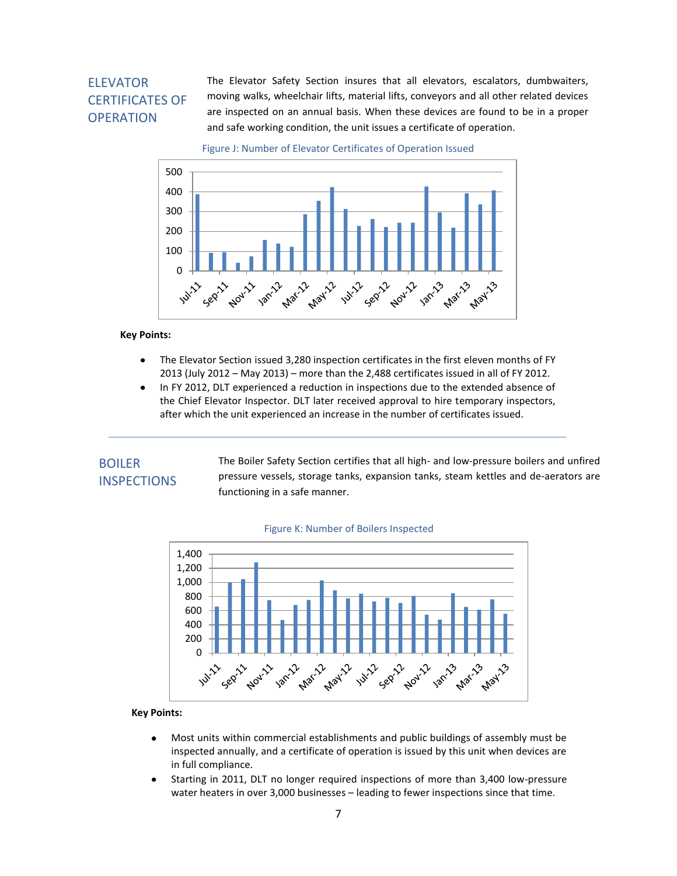# ELEVATOR CERTIFICATES OF **OPERATION**

The Elevator Safety Section insures that all elevators, escalators, dumbwaiters, moving walks, wheelchair lifts, material lifts, conveyors and all other related devices are inspected on an annual basis. When these devices are found to be in a proper and safe working condition, the unit issues a certificate of operation.

Figure J: Number of Elevator Certificates of Operation Issued



### **Key Points:**

- The Elevator Section issued 3,280 inspection certificates in the first eleven months of FY  $\bullet$ 2013 (July 2012 – May 2013) – more than the 2,488 certificates issued in all of FY 2012.
- In FY 2012, DLT experienced a reduction in inspections due to the extended absence of  $\bullet$ the Chief Elevator Inspector. DLT later received approval to hire temporary inspectors, after which the unit experienced an increase in the number of certificates issued.

# BOILER **INSPECTIONS**

The Boiler Safety Section certifies that all high- and low-pressure boilers and unfired pressure vessels, storage tanks, expansion tanks, steam kettles and de-aerators are functioning in a safe manner.



#### Figure K: Number of Boilers Inspected

### **Key Points:**

- $\bullet$ Most units within commercial establishments and public buildings of assembly must be inspected annually, and a certificate of operation is issued by this unit when devices are in full compliance.
- Starting in 2011, DLT no longer required inspections of more than 3,400 low-pressure water heaters in over 3,000 businesses – leading to fewer inspections since that time.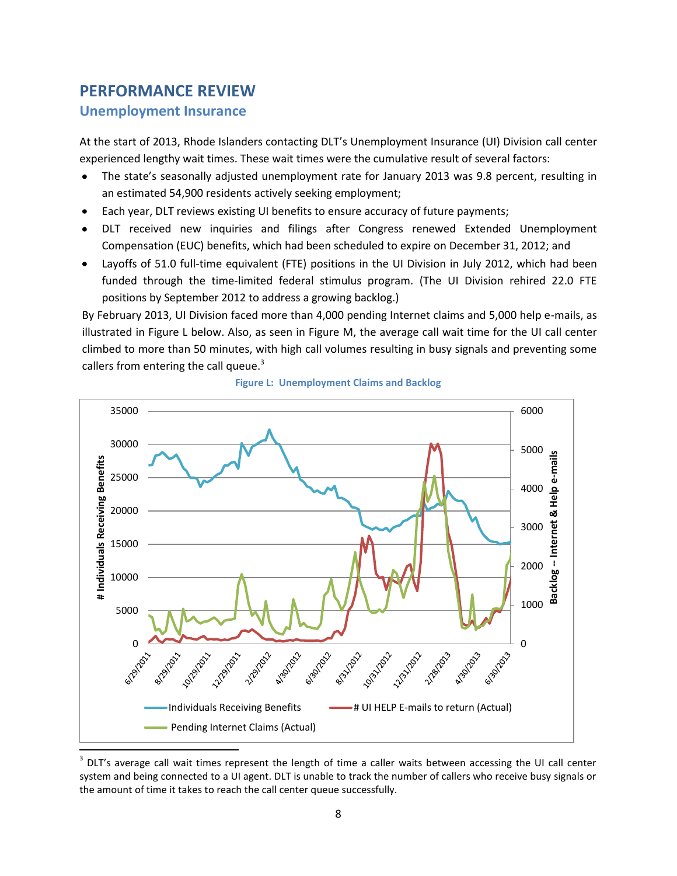# **PERFORMANCE REVIEW**

## **Unemployment Insurance**

At the start of 2013, Rhode Islanders contacting DLT's Unemployment Insurance (UI) Division call center experienced lengthy wait times. These wait times were the cumulative result of several factors:

- The state's seasonally adjusted unemployment rate for January 2013 was 9.8 percent, resulting in an estimated 54,900 residents actively seeking employment;
- Each year, DLT reviews existing UI benefits to ensure accuracy of future payments;
- DLT received new inquiries and filings after Congress renewed Extended Unemployment  $\bullet$ Compensation (EUC) benefits, which had been scheduled to expire on December 31, 2012; and
- Layoffs of 51.0 full-time equivalent (FTE) positions in the UI Division in July 2012, which had been funded through the time-limited federal stimulus program. (The UI Division rehired 22.0 FTE positions by September 2012 to address a growing backlog.)

By February 2013, UI Division faced more than 4,000 pending Internet claims and 5,000 help e-mails, as illustrated in Figure L below. Also, as seen in Figure M, the average call wait time for the UI call center climbed to more than 50 minutes, with high call volumes resulting in busy signals and preventing some callers from entering the call queue. $3$ 



**Figure L: Unemployment Claims and Backlog**

 $3$  DLT's average call wait times represent the length of time a caller waits between accessing the UI call center system and being connected to a UI agent. DLT is unable to track the number of callers who receive busy signals or the amount of time it takes to reach the call center queue successfully.